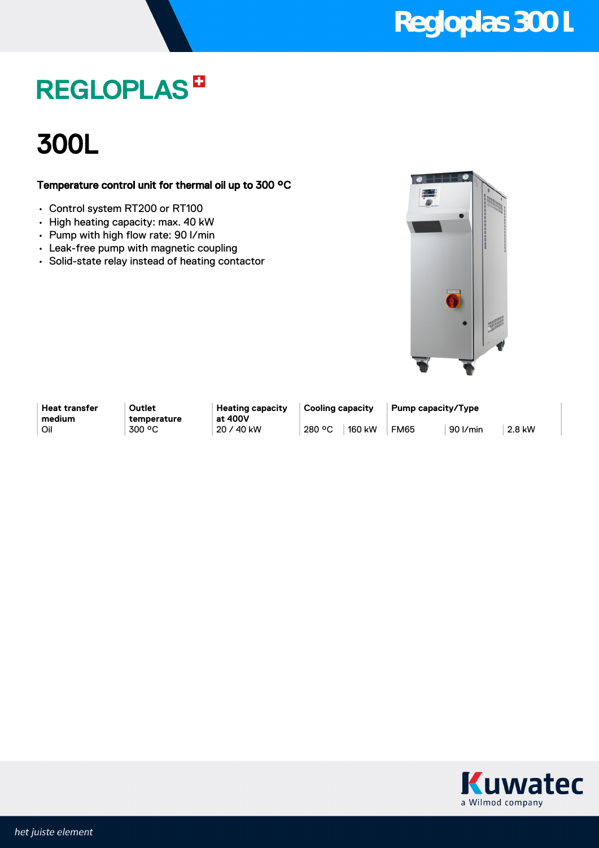### **Regloplas 300 L**

## **REGLOPLAS<sup>B</sup>**

### 300L

### Temperature control unit for thermal oil up to 300 °C

- Control system RT200 or RT100
- High heating capacity: max. 40 kW
- Pump with high flow rate: 90 l/min
- Leak-free pump with magnetic coupling
- Solid-state relay instead of heating contactor



**Heat transfer medium**

**Outlet temperature** **Heating capacity at 400V**

Oil 300 °C 20 / 40 kW 280 °C 160 kW FM65 90 l/min 2.8 kW

**Cooling capacity Pump capacity/Type**

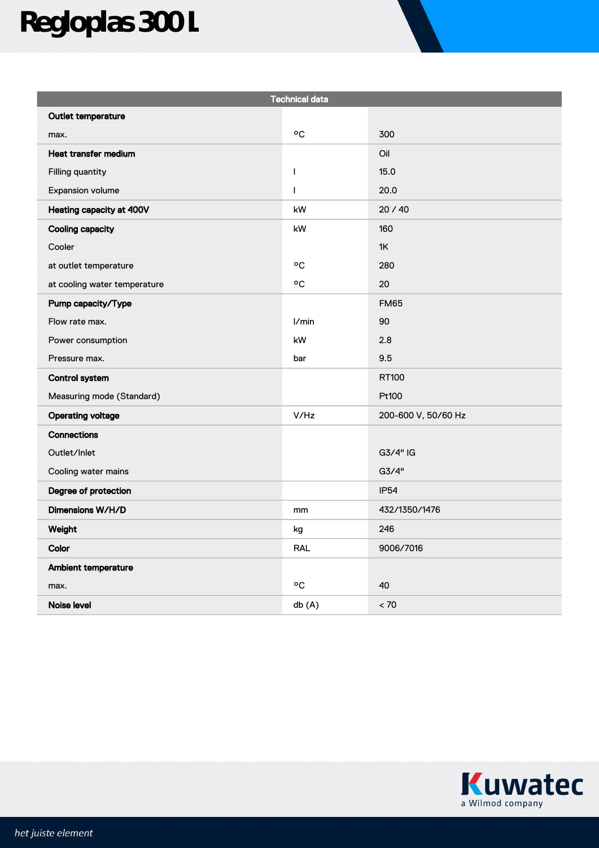# **Regloplas 300 L**

| <b>Technical data</b>        |                  |                     |
|------------------------------|------------------|---------------------|
| Outlet temperature           |                  |                     |
| max.                         | °C               | 300                 |
| <b>Heat transfer medium</b>  |                  | Oil                 |
| Filling quantity             | $\mathsf{I}$     | 15.0                |
| Expansion volume             | I                | 20.0                |
| Heating capacity at 400V     | kW               | 20/40               |
| <b>Cooling capacity</b>      | kW               | 160                 |
| Cooler                       |                  | 1K                  |
| at outlet temperature        | °C               | 280                 |
| at cooling water temperature | $\circ \text{C}$ | 20                  |
| Pump capacity/Type           |                  | <b>FM65</b>         |
| Flow rate max.               | I/min            | 90                  |
| Power consumption            | kW               | 2.8                 |
| Pressure max.                | bar              | 9.5                 |
| <b>Control system</b>        |                  | RT100               |
| Measuring mode (Standard)    |                  | Pt100               |
| <b>Operating voltage</b>     | V/Hz             | 200-600 V, 50/60 Hz |
| <b>Connections</b>           |                  |                     |
| Outlet/Inlet                 |                  | G3/4" IG            |
| Cooling water mains          |                  | G3/4"               |
| Degree of protection         |                  | <b>IP54</b>         |
| Dimensions W/H/D             | mm               | 432/1350/1476       |
| Weight                       | kg               | 246                 |
| Color                        | <b>RAL</b>       | 9006/7016           |
| Ambient temperature          |                  |                     |
| max.                         | °C               | 40                  |
| Noise level                  | db (A)           | < 70                |